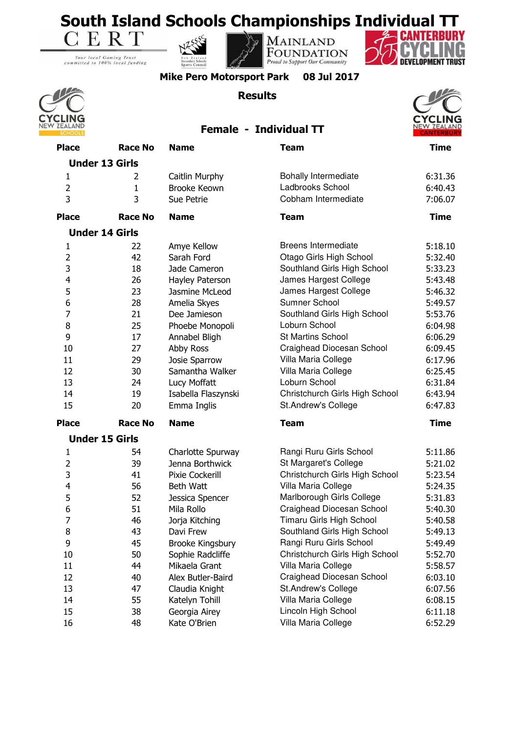

Your local Gaming Trust<br>committed to 100% local funding







**Mike Pero Motorsport Park 08 Jul 2017**

## **Results**







| <b>Place</b>   | <b>Race No</b>        | <b>Name</b>         | <b>Team</b>                    | <b>Time</b> |
|----------------|-----------------------|---------------------|--------------------------------|-------------|
|                | <b>Under 13 Girls</b> |                     |                                |             |
| $\mathbf{1}$   | 2                     | Caitlin Murphy      | <b>Bohally Intermediate</b>    | 6:31.36     |
| $\overline{2}$ | $\mathbf{1}$          | <b>Brooke Keown</b> | Ladbrooks School               | 6:40.43     |
| 3              | 3                     | Sue Petrie          | Cobham Intermediate            | 7:06.07     |
| <b>Place</b>   | <b>Race No</b>        | <b>Name</b>         | <b>Team</b>                    | <b>Time</b> |
|                | <b>Under 14 Girls</b> |                     |                                |             |
| $\mathbf{1}$   | 22                    | Amye Kellow         | <b>Breens Intermediate</b>     | 5:18.10     |
| $\overline{2}$ | 42                    | Sarah Ford          | Otago Girls High School        | 5:32.40     |
| 3              | 18                    | Jade Cameron        | Southland Girls High School    | 5:33.23     |
| 4              | 26                    | Hayley Paterson     | James Hargest College          | 5:43.48     |
| 5              | 23                    | Jasmine McLeod      | James Hargest College          | 5:46.32     |
| 6              | 28                    | Amelia Skyes        | Sumner School                  | 5:49.57     |
| 7              | 21                    | Dee Jamieson        | Southland Girls High School    | 5:53.76     |
| 8              | 25                    | Phoebe Monopoli     | Loburn School                  | 6:04.98     |
| 9              | 17                    | Annabel Bligh       | <b>St Martins School</b>       | 6:06.29     |
| 10             | 27                    | Abby Ross           | Craighead Diocesan School      | 6:09.45     |
| 11             | 29                    | Josie Sparrow       | Villa Maria College            | 6:17.96     |
| 12             | 30                    | Samantha Walker     | Villa Maria College            | 6:25.45     |
| 13             | 24                    | Lucy Moffatt        | Loburn School                  | 6:31.84     |
| 14             | 19                    | Isabella Flaszynski | Christchurch Girls High School | 6:43.94     |
| 15             | 20                    | Emma Inglis         | St.Andrew's College            | 6:47.83     |
| <b>Place</b>   | <b>Race No</b>        | <b>Name</b>         | <b>Team</b>                    | <b>Time</b> |
|                | <b>Under 15 Girls</b> |                     |                                |             |
| $\mathbf{1}$   | 54                    | Charlotte Spurway   | Rangi Ruru Girls School        | 5:11.86     |
| $\overline{2}$ | 39                    | Jenna Borthwick     | St Margaret's College          | 5:21.02     |
| 3              | 41                    | Pixie Cockerill     | Christchurch Girls High School | 5:23.54     |
| 4              | 56                    | Beth Watt           | Villa Maria College            | 5:24.35     |
| 5              | 52                    | Jessica Spencer     | Marlborough Girls College      | 5:31.83     |
| 6              | 51                    | Mila Rollo          | Craighead Diocesan School      | 5:40.30     |
| $\overline{7}$ | 46                    | Jorja Kitching      | Timaru Girls High School       | 5:40.58     |
| 8              | 43                    | Davi Frew           | Southland Girls High School    | 5:49.13     |
| 9              | 45                    | Brooke Kingsbury    | Rangi Ruru Girls School        | 5:49.49     |
| 10             | 50                    | Sophie Radcliffe    | Christchurch Girls High School | 5:52.70     |
| 11             | 44                    | Mikaela Grant       | Villa Maria College            | 5:58.57     |
| 12             | 40                    | Alex Butler-Baird   | Craighead Diocesan School      | 6:03.10     |
| 13             | 47                    | Claudia Knight      | St.Andrew's College            | 6:07.56     |
| 14             | 55                    | Katelyn Tohill      | Villa Maria College            | 6:08.15     |
| 15             | 38                    | Georgia Airey       | Lincoln High School            | 6:11.18     |
| 16             | 48                    | Kate O'Brien        | Villa Maria College            | 6:52.29     |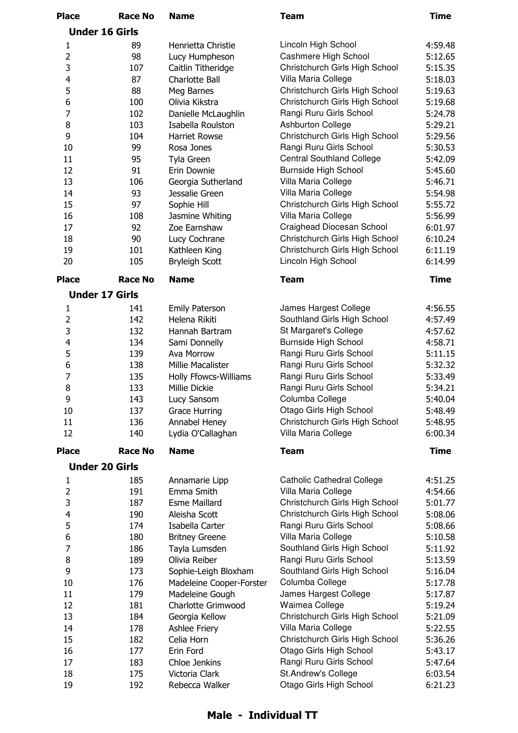| <b>Place</b>   | <b>Race No</b>        | <b>Name</b>                  | <b>Team</b>                                           | <b>Time</b> |
|----------------|-----------------------|------------------------------|-------------------------------------------------------|-------------|
|                | <b>Under 16 Girls</b> |                              |                                                       |             |
| 1              | 89                    | Henrietta Christie           | Lincoln High School                                   | 4:59.48     |
| $\overline{2}$ | 98                    | Lucy Humpheson               | Cashmere High School                                  | 5:12.65     |
| 3              | 107                   | Caitlin Titheridge           | Christchurch Girls High School                        | 5:15.35     |
| 4              | 87                    | Charlotte Ball               | Villa Maria College                                   | 5:18.03     |
| 5              | 88                    | Meg Barnes                   | Christchurch Girls High School                        | 5:19.63     |
| 6              | 100                   | Olivia Kikstra               | Christchurch Girls High School                        | 5:19.68     |
| $\overline{7}$ | 102                   | Danielle McLaughlin          | Rangi Ruru Girls School                               | 5:24.78     |
| 8              | 103                   | Isabella Roulston            | Ashburton College                                     | 5:29.21     |
| 9              | 104                   | <b>Harriet Rowse</b>         | Christchurch Girls High School                        | 5:29.56     |
| 10             | 99                    | Rosa Jones                   | Rangi Ruru Girls School                               | 5:30.53     |
| 11             | 95                    | Tyla Green                   | <b>Central Southland College</b>                      | 5:42.09     |
| 12             | 91                    | Erin Downie                  | <b>Burnside High School</b>                           | 5:45.60     |
| 13             | 106                   | Georgia Sutherland           | Villa Maria College                                   | 5:46.71     |
| 14             | 93                    | Jessalie Green               | Villa Maria College                                   | 5:54.98     |
| 15             | 97                    | Sophie Hill                  | Christchurch Girls High School                        | 5:55.72     |
| 16             | 108                   | Jasmine Whiting              | Villa Maria College                                   | 5:56.99     |
| 17             | 92                    | Zoe Earnshaw                 | Craighead Diocesan School                             | 6:01.97     |
| 18             | 90                    | Lucy Cochrane                | Christchurch Girls High School                        | 6:10.24     |
| 19             | 101                   | Kathleen King                | Christchurch Girls High School                        | 6:11.19     |
| 20             | 105                   | <b>Bryleigh Scott</b>        | Lincoln High School                                   | 6:14.99     |
| <b>Place</b>   | <b>Race No</b>        | <b>Name</b>                  | <b>Team</b>                                           | <b>Time</b> |
|                | <b>Under 17 Girls</b> |                              |                                                       |             |
| 1              | 141                   | <b>Emily Paterson</b>        | James Hargest College                                 | 4:56.55     |
| $\overline{2}$ | 142                   | Helena Rikiti                | Southland Girls High School                           | 4:57.49     |
| 3              | 132                   | Hannah Bartram               | St Margaret's College                                 | 4:57.62     |
| 4              | 134                   | Sami Donnelly                | <b>Burnside High School</b>                           | 4:58.71     |
| 5              | 139                   | Ava Morrow                   | Rangi Ruru Girls School                               | 5:11.15     |
| 6              | 138                   | Millie Macalister            | Rangi Ruru Girls School                               | 5:32.32     |
| 7              | 135                   | <b>Holly Ffowcs-Williams</b> | Rangi Ruru Girls School                               | 5:33.49     |
| 8              | 133                   | Millie Dickie                | Rangi Ruru Girls School                               | 5:34.21     |
| 9              | 143                   | Lucy Sansom                  | Columba College                                       | 5:40.04     |
| 10             | 137                   | <b>Grace Hurring</b>         | Otago Girls High School                               | 5:48.49     |
| 11             | 136                   | Annabel Heney                | Christchurch Girls High School                        | 5:48.95     |
| 12             | 140                   | Lydia O'Callaghan            | Villa Maria College                                   | 6:00.34     |
| <b>Place</b>   | <b>Race No</b>        | <b>Name</b>                  | <b>Team</b>                                           | <b>Time</b> |
|                | <b>Under 20 Girls</b> |                              |                                                       |             |
|                |                       |                              |                                                       |             |
| 1              | 185                   | Annamarie Lipp               | <b>Catholic Cathedral College</b>                     | 4:51.25     |
| $\overline{2}$ | 191                   | Emma Smith                   | Villa Maria College<br>Christchurch Girls High School | 4:54.66     |
| 3              | 187                   | <b>Esme Maillard</b>         |                                                       | 5:01.77     |
| 4              | 190                   | Aleisha Scott                | Christchurch Girls High School                        | 5:08.06     |
| 5              | 174                   | Isabella Carter              | Rangi Ruru Girls School                               | 5:08.66     |
| 6              | 180                   | <b>Britney Greene</b>        | Villa Maria College                                   | 5:10.58     |
| $\overline{7}$ | 186                   | Tayla Lumsden                | Southland Girls High School                           | 5:11.92     |
| 8              | 189                   | Olivia Reiber                | Rangi Ruru Girls School                               | 5:13.59     |
| 9              | 173                   | Sophie-Leigh Bloxham         | Southland Girls High School                           | 5:16.04     |
| 10             | 176                   | Madeleine Cooper-Forster     | Columba College                                       | 5:17.78     |
| 11             | 179                   | Madeleine Gough              | James Hargest College                                 | 5:17.87     |
| 12             | 181                   | Charlotte Grimwood           | Waimea College                                        | 5:19.24     |
| 13             | 184                   | Georgia Kellow               | Christchurch Girls High School                        | 5:21.09     |
| 14             | 178                   | Ashlee Friery                | Villa Maria College                                   | 5:22.55     |
| 15             | 182                   | Celia Horn                   | Christchurch Girls High School                        | 5:36.26     |
| 16             | 177                   | Erin Ford                    | Otago Girls High School                               | 5:43.17     |
| 17             | 183                   | Chloe Jenkins                | Rangi Ruru Girls School                               | 5:47.64     |
| 18             | 175                   | Victoria Clark               | St.Andrew's College                                   | 6:03.54     |
| 19             | 192                   | Rebecca Walker               | Otago Girls High School                               | 6:21.23     |

## **Male - Individual TT**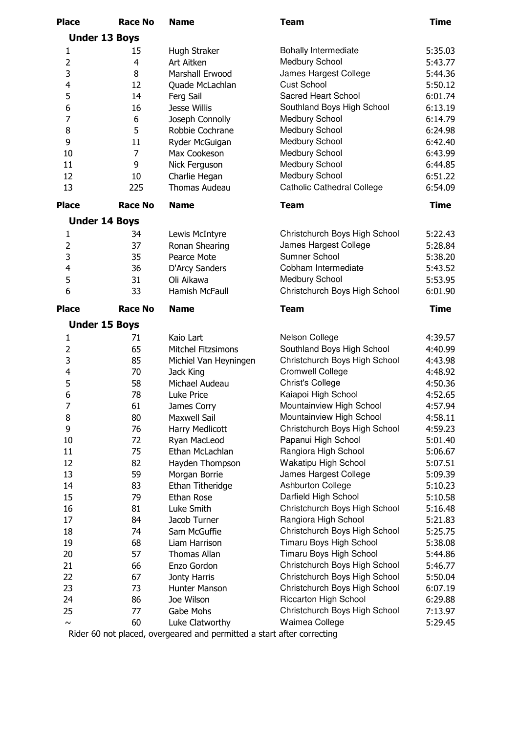| <b>Place</b>            | <b>Race No</b> | <b>Name</b>           | <b>Team</b>                       | <b>Time</b> |
|-------------------------|----------------|-----------------------|-----------------------------------|-------------|
| <b>Under 13 Boys</b>    |                |                       |                                   |             |
| 1                       | 15             | Hugh Straker          | <b>Bohally Intermediate</b>       | 5:35.03     |
| $\overline{2}$          | 4              | Art Aitken            | Medbury School                    | 5:43.77     |
| 3                       | 8              | Marshall Erwood       | James Hargest College             | 5:44.36     |
| $\overline{4}$          | 12             | Quade McLachlan       | <b>Cust School</b>                | 5:50.12     |
| 5                       | 14             | Ferg Sail             | <b>Sacred Heart School</b>        | 6:01.74     |
| 6                       | 16             | Jesse Willis          | Southland Boys High School        | 6:13.19     |
| $\overline{7}$          | 6              | Joseph Connolly       | Medbury School                    | 6:14.79     |
| 8                       | 5              | Robbie Cochrane       | Medbury School                    | 6:24.98     |
| 9                       | 11             | Ryder McGuigan        | Medbury School                    | 6:42.40     |
| 10                      | 7              | Max Cookeson          | Medbury School                    | 6:43.99     |
| 11                      | 9              | Nick Ferguson         | Medbury School                    | 6:44.85     |
| 12                      | 10             | Charlie Hegan         | Medbury School                    | 6:51.22     |
| 13                      | 225            | Thomas Audeau         | <b>Catholic Cathedral College</b> | 6:54.09     |
| <b>Place</b>            | <b>Race No</b> | <b>Name</b>           | <b>Team</b>                       | <b>Time</b> |
| <b>Under 14 Boys</b>    |                |                       |                                   |             |
| 1                       | 34             | Lewis McIntyre        | Christchurch Boys High School     | 5:22.43     |
| $\overline{2}$          | 37             | Ronan Shearing        | James Hargest College             | 5:28.84     |
| 3                       | 35             | Pearce Mote           | Sumner School                     | 5:38.20     |
| $\overline{\mathbf{r}}$ | 36             | D'Arcy Sanders        | Cobham Intermediate               | 5:43.52     |
| 5                       | 31             | Oli Aikawa            | Medbury School                    | 5:53.95     |
| 6                       | 33             | Hamish McFaull        | Christchurch Boys High School     | 6:01.90     |
| <b>Place</b>            | <b>Race No</b> | <b>Name</b>           | <b>Team</b>                       | <b>Time</b> |
| <b>Under 15 Boys</b>    |                |                       |                                   |             |
| 1                       | 71             | Kaio Lart             | Nelson College                    | 4:39.57     |
| $\overline{2}$          | 65             | Mitchel Fitzsimons    | Southland Boys High School        | 4:40.99     |
| 3                       | 85             | Michiel Van Heyningen | Christchurch Boys High School     | 4:43.98     |
| 4                       | 70             | Jack King             | <b>Cromwell College</b>           | 4:48.92     |
| 5                       | 58             | Michael Audeau        | <b>Christ's College</b>           | 4:50.36     |
| 6                       | 78             | Luke Price            | Kaiapoi High School               | 4:52.65     |
| $\overline{7}$          | 61             | James Corry           | Mountainview High School          | 4:57.94     |
| 8                       | 80             | <b>Maxwell Sail</b>   | Mountainview High School          | 4:58.11     |
| 9                       | 76             | Harry Medlicott       | Christchurch Boys High School     | 4:59.23     |
| 10                      | 72             | Ryan MacLeod          | Papanui High School               | 5:01.40     |
| 11                      | 75             | Ethan McLachlan       | Rangiora High School              | 5:06.67     |
| 12                      | 82             | Hayden Thompson       | Wakatipu High School              | 5:07.51     |
| 13                      | 59             | Morgan Borrie         | James Hargest College             | 5:09.39     |
| 14                      | 83             | Ethan Titheridge      | <b>Ashburton College</b>          | 5:10.23     |
| 15                      | 79             | Ethan Rose            | Darfield High School              | 5:10.58     |
| 16                      | 81             | Luke Smith            | Christchurch Boys High School     | 5:16.48     |
| 17                      | 84             | Jacob Turner          | Rangiora High School              | 5:21.83     |
| 18                      | 74             | Sam McGuffie          | Christchurch Boys High School     | 5:25.75     |
| 19                      | 68             | Liam Harrison         | Timaru Boys High School           | 5:38.08     |
| 20                      | 57             | <b>Thomas Allan</b>   | Timaru Boys High School           | 5:44.86     |
| 21                      | 66             | Enzo Gordon           | Christchurch Boys High School     | 5:46.77     |
| 22                      | 67             | Jonty Harris          | Christchurch Boys High School     | 5:50.04     |
| 23                      | 73             | Hunter Manson         | Christchurch Boys High School     | 6:07.19     |
| 24                      | 86             | Joe Wilson            | Riccarton High School             | 6:29.88     |
| 25                      | 77             | Gabe Mohs             | Christchurch Boys High School     | 7:13.97     |
| $\sim$                  | 60             | Luke Clatworthy       | Waimea College                    | 5:29.45     |

Rider 60 not placed, overgeared and permitted a start after correcting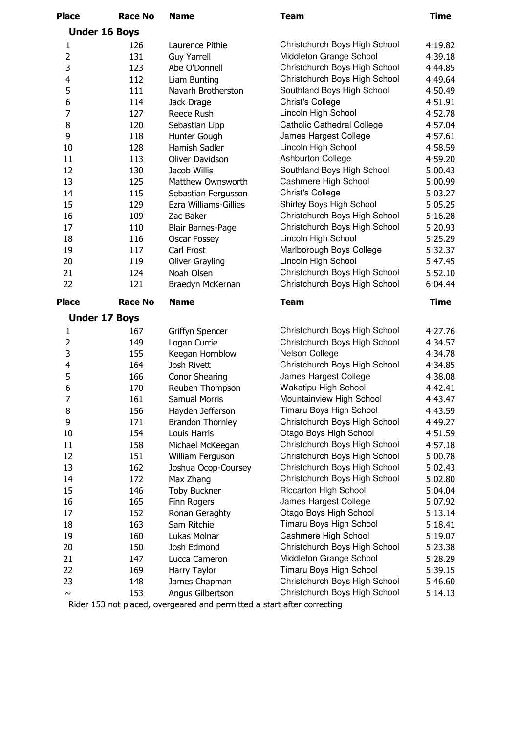| <b>Place</b>     | <b>Race No</b>       | <b>Name</b>              | <b>Team</b>                       | <b>Time</b> |
|------------------|----------------------|--------------------------|-----------------------------------|-------------|
|                  | <b>Under 16 Boys</b> |                          |                                   |             |
| 1                | 126                  | Laurence Pithie          | Christchurch Boys High School     | 4:19.82     |
| $\overline{2}$   | 131                  | <b>Guy Yarrell</b>       | Middleton Grange School           | 4:39.18     |
| 3                | 123                  | Abe O'Donnell            | Christchurch Boys High School     | 4:44.85     |
| 4                | 112                  | Liam Bunting             | Christchurch Boys High School     | 4:49.64     |
| 5                | 111                  | Navarh Brotherston       | Southland Boys High School        | 4:50.49     |
| $\boldsymbol{6}$ | 114                  | Jack Drage               | <b>Christ's College</b>           | 4:51.91     |
| $\overline{7}$   | 127                  | Reece Rush               | Lincoln High School               | 4:52.78     |
| 8                | 120                  | Sebastian Lipp           | <b>Catholic Cathedral College</b> | 4:57.04     |
| 9                | 118                  | Hunter Gough             | James Hargest College             | 4:57.61     |
| 10               | 128                  | Hamish Sadler            | Lincoln High School               | 4:58.59     |
| 11               | 113                  | Oliver Davidson          | <b>Ashburton College</b>          | 4:59.20     |
| 12               | 130                  | Jacob Willis             | Southland Boys High School        | 5:00.43     |
| 13               | 125                  | Matthew Ownsworth        | Cashmere High School              | 5:00.99     |
| 14               | 115                  | Sebastian Fergusson      | <b>Christ's College</b>           | 5:03.27     |
| 15               | 129                  | Ezra Williams-Gillies    | Shirley Boys High School          | 5:05.25     |
| 16               | 109                  | Zac Baker                | Christchurch Boys High School     | 5:16.28     |
| 17               | 110                  | <b>Blair Barnes-Page</b> | Christchurch Boys High School     | 5:20.93     |
| 18               | 116                  | Oscar Fossey             | Lincoln High School               | 5:25.29     |
| 19               | 117                  | Carl Frost               | Marlborough Boys College          | 5:32.37     |
| 20               | 119                  | Oliver Grayling          | Lincoln High School               | 5:47.45     |
| 21               | 124                  | Noah Olsen               | Christchurch Boys High School     | 5:52.10     |
| 22               | 121                  | Braedyn McKernan         | Christchurch Boys High School     | 6:04.44     |
|                  |                      |                          |                                   |             |
| <b>Place</b>     | <b>Race No</b>       | <b>Name</b>              | <b>Team</b>                       | <b>Time</b> |
|                  | <b>Under 17 Boys</b> |                          |                                   |             |
| 1                | 167                  | Griffyn Spencer          | Christchurch Boys High School     | 4:27.76     |
| $\overline{2}$   | 149                  | Logan Currie             | Christchurch Boys High School     | 4:34.57     |
| 3                | 155                  | Keegan Hornblow          | Nelson College                    | 4:34.78     |
| $\overline{4}$   | 164                  | Josh Rivett              | Christchurch Boys High School     | 4:34.85     |
| 5                | 166                  | <b>Conor Shearing</b>    | James Hargest College             | 4:38.08     |
| 6                | 170                  | Reuben Thompson          | Wakatipu High School              | 4:42.41     |
| $\overline{7}$   | 161                  | Samual Morris            | Mountainview High School          | 4:43.47     |
| 8                | 156                  | Hayden Jefferson         | Timaru Boys High School           | 4:43.59     |
| 9                | 171                  | <b>Brandon Thornley</b>  | Christchurch Boys High School     | 4:49.27     |
| 10               | 154                  | Louis Harris             | Otago Boys High School            | 4:51.59     |
| 11               | 158                  | Michael McKeegan         | Christchurch Boys High School     | 4:57.18     |
| 12               | 151                  | William Ferguson         | Christchurch Boys High School     | 5:00.78     |
| 13               | 162                  | Joshua Ocop-Coursey      | Christchurch Boys High School     | 5:02.43     |
| 14               | 172                  | Max Zhang                | Christchurch Boys High School     | 5:02.80     |
| 15               | 146                  | <b>Toby Buckner</b>      | <b>Riccarton High School</b>      | 5:04.04     |
| 16               | 165                  | Finn Rogers              | James Hargest College             | 5:07.92     |
| 17               | 152                  | Ronan Geraghty           | Otago Boys High School            | 5:13.14     |
| 18               | 163                  | Sam Ritchie              | Timaru Boys High School           | 5:18.41     |
| 19               | 160                  | Lukas Molnar             | Cashmere High School              | 5:19.07     |
| 20               | 150                  | Josh Edmond              | Christchurch Boys High School     | 5:23.38     |
| 21               | 147                  | Lucca Cameron            | Middleton Grange School           | 5:28.29     |
| 22               | 169                  | Harry Taylor             | Timaru Boys High School           | 5:39.15     |
| 23               | 148                  | James Chapman            | Christchurch Boys High School     | 5:46.60     |
| $\sim$           | 153                  | Angus Gilbertson         | Christchurch Boys High School     | 5:14.13     |
|                  |                      |                          |                                   |             |

Rider 153 not placed, overgeared and permitted a start after correcting